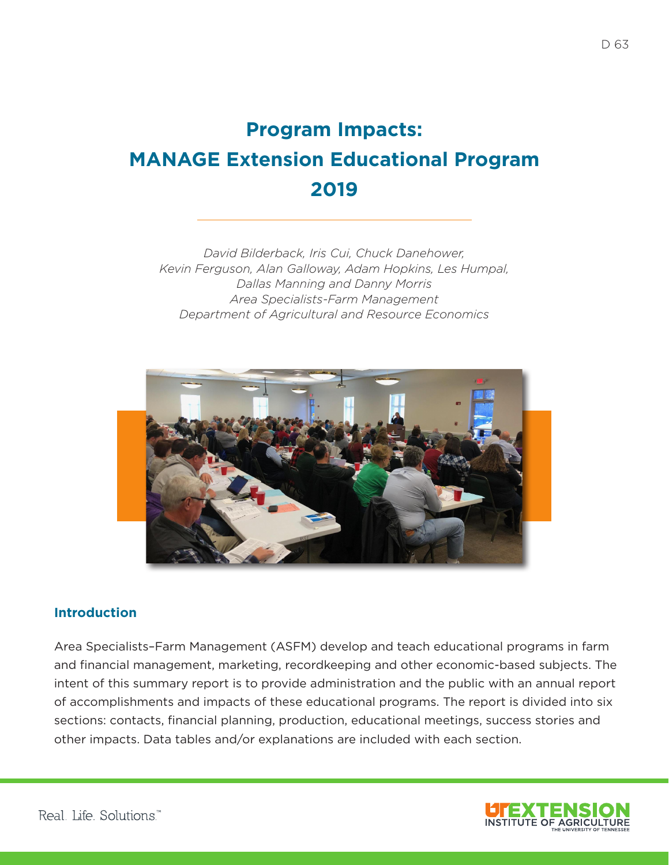# **Program Impacts: MANAGE Extension Educational Program 2019**

*David Bilderback, Iris Cui, Chuck Danehower, Kevin Ferguson, Alan Galloway, Adam Hopkins, Les Humpal, Dallas Manning and Danny Morris Area Specialists-Farm Management Department of Agricultural and Resource Economics*



## **Introduction**

Area Specialists–Farm Management (ASFM) develop and teach educational programs in farm and financial management, marketing, recordkeeping and other economic-based subjects. The intent of this summary report is to provide administration and the public with an annual report of accomplishments and impacts of these educational programs. The report is divided into six sections: contacts, financial planning, production, educational meetings, success stories and other impacts. Data tables and/or explanations are included with each section.

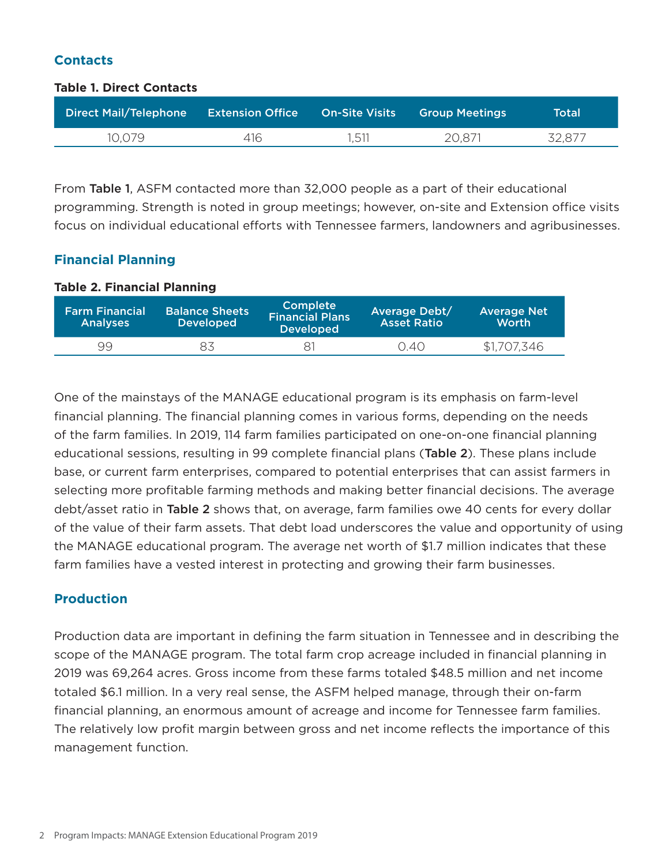# **Contacts**

#### **Table 1. Direct Contacts**

| <b>Direct Mail/Telephone</b> | <b>Extension Office Con-Site Visits Article</b> |       | ' Group Meetings , | Total  |
|------------------------------|-------------------------------------------------|-------|--------------------|--------|
| 10.079                       | 416.                                            | 1,511 | 20,871             | 32,877 |

From Table 1, ASFM contacted more than 32,000 people as a part of their educational programming. Strength is noted in group meetings; however, on-site and Extension office visits focus on individual educational efforts with Tennessee farmers, landowners and agribusinesses.

# **Financial Planning**

### **Table 2. Financial Planning**

| <b>Farm Financial</b><br><b>Analyses</b> | <b>Balance Sheets</b><br><b>Developed</b> | <b>Complete</b><br><b>Financial Plans</b><br><b>Developed</b> | <b>Average Debt/</b><br><b>Asset Ratio</b> | <b>Average Net</b><br><b>Worth</b> |
|------------------------------------------|-------------------------------------------|---------------------------------------------------------------|--------------------------------------------|------------------------------------|
| 99                                       | 83                                        |                                                               | 0.40                                       | \$1,707,346                        |

One of the mainstays of the MANAGE educational program is its emphasis on farm-level financial planning. The financial planning comes in various forms, depending on the needs of the farm families. In 2019, 114 farm families participated on one-on-one financial planning educational sessions, resulting in 99 complete financial plans (Table 2). These plans include base, or current farm enterprises, compared to potential enterprises that can assist farmers in selecting more profitable farming methods and making better financial decisions. The average debt/asset ratio in Table 2 shows that, on average, farm families owe 40 cents for every dollar of the value of their farm assets. That debt load underscores the value and opportunity of using the MANAGE educational program. The average net worth of \$1.7 million indicates that these farm families have a vested interest in protecting and growing their farm businesses.

# **Production**

Production data are important in defining the farm situation in Tennessee and in describing the scope of the MANAGE program. The total farm crop acreage included in financial planning in 2019 was 69,264 acres. Gross income from these farms totaled \$48.5 million and net income totaled \$6.1 million. In a very real sense, the ASFM helped manage, through their on-farm financial planning, an enormous amount of acreage and income for Tennessee farm families. The relatively low profit margin between gross and net income reflects the importance of this management function.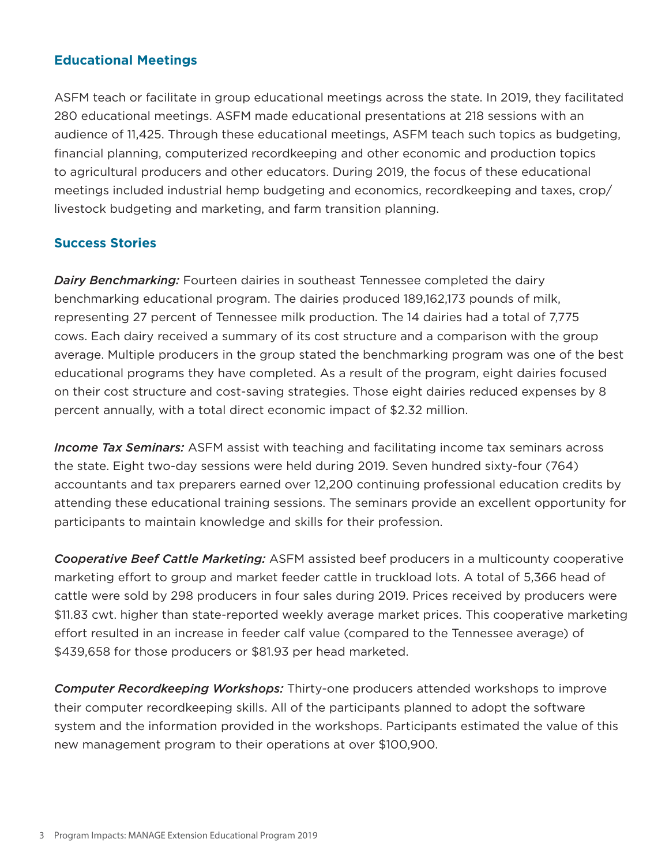## **Educational Meetings**

ASFM teach or facilitate in group educational meetings across the state. In 2019, they facilitated 280 educational meetings. ASFM made educational presentations at 218 sessions with an audience of 11,425. Through these educational meetings, ASFM teach such topics as budgeting, financial planning, computerized recordkeeping and other economic and production topics to agricultural producers and other educators. During 2019, the focus of these educational meetings included industrial hemp budgeting and economics, recordkeeping and taxes, crop/ livestock budgeting and marketing, and farm transition planning.

## **Success Stories**

*Dairy Benchmarking:* Fourteen dairies in southeast Tennessee completed the dairy benchmarking educational program. The dairies produced 189,162,173 pounds of milk, representing 27 percent of Tennessee milk production. The 14 dairies had a total of 7,775 cows. Each dairy received a summary of its cost structure and a comparison with the group average. Multiple producers in the group stated the benchmarking program was one of the best educational programs they have completed. As a result of the program, eight dairies focused on their cost structure and cost-saving strategies. Those eight dairies reduced expenses by 8 percent annually, with a total direct economic impact of \$2.32 million.

*Income Tax Seminars:* ASFM assist with teaching and facilitating income tax seminars across the state. Eight two-day sessions were held during 2019. Seven hundred sixty-four (764) accountants and tax preparers earned over 12,200 continuing professional education credits by attending these educational training sessions. The seminars provide an excellent opportunity for participants to maintain knowledge and skills for their profession.

*Cooperative Beef Cattle Marketing:* ASFM assisted beef producers in a multicounty cooperative marketing effort to group and market feeder cattle in truckload lots. A total of 5,366 head of cattle were sold by 298 producers in four sales during 2019. Prices received by producers were \$11.83 cwt. higher than state-reported weekly average market prices. This cooperative marketing effort resulted in an increase in feeder calf value (compared to the Tennessee average) of \$439,658 for those producers or \$81.93 per head marketed.

*Computer Recordkeeping Workshops:* Thirty-one producers attended workshops to improve their computer recordkeeping skills. All of the participants planned to adopt the software system and the information provided in the workshops. Participants estimated the value of this new management program to their operations at over \$100,900.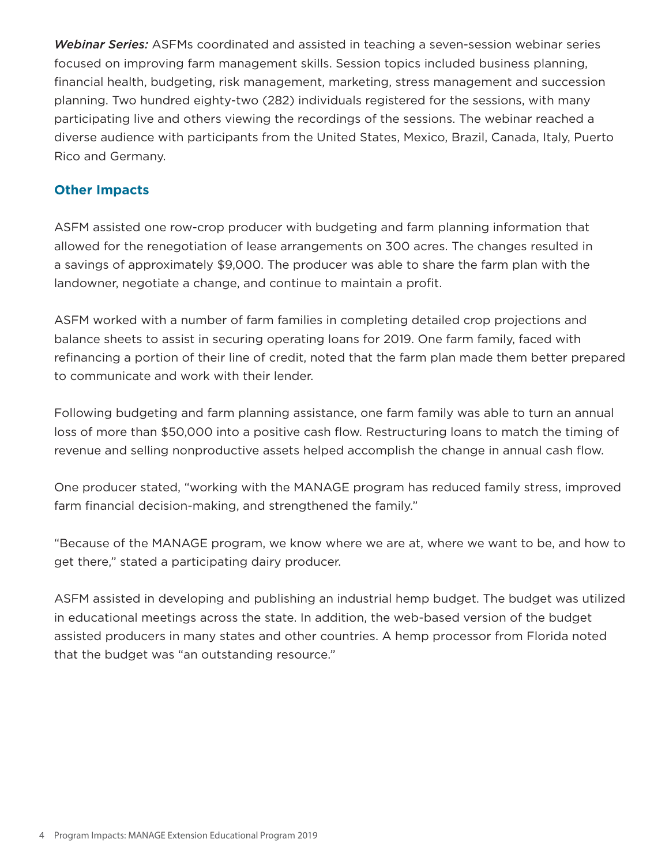*Webinar Series:* ASFMs coordinated and assisted in teaching a seven-session webinar series focused on improving farm management skills. Session topics included business planning, financial health, budgeting, risk management, marketing, stress management and succession planning. Two hundred eighty-two (282) individuals registered for the sessions, with many participating live and others viewing the recordings of the sessions. The webinar reached a diverse audience with participants from the United States, Mexico, Brazil, Canada, Italy, Puerto Rico and Germany.

# **Other Impacts**

ASFM assisted one row-crop producer with budgeting and farm planning information that allowed for the renegotiation of lease arrangements on 300 acres. The changes resulted in a savings of approximately \$9,000. The producer was able to share the farm plan with the landowner, negotiate a change, and continue to maintain a profit.

ASFM worked with a number of farm families in completing detailed crop projections and balance sheets to assist in securing operating loans for 2019. One farm family, faced with refinancing a portion of their line of credit, noted that the farm plan made them better prepared to communicate and work with their lender.

Following budgeting and farm planning assistance, one farm family was able to turn an annual loss of more than \$50,000 into a positive cash flow. Restructuring loans to match the timing of revenue and selling nonproductive assets helped accomplish the change in annual cash flow.

One producer stated, "working with the MANAGE program has reduced family stress, improved farm financial decision-making, and strengthened the family."

"Because of the MANAGE program, we know where we are at, where we want to be, and how to get there," stated a participating dairy producer.

ASFM assisted in developing and publishing an industrial hemp budget. The budget was utilized in educational meetings across the state. In addition, the web-based version of the budget assisted producers in many states and other countries. A hemp processor from Florida noted that the budget was "an outstanding resource."